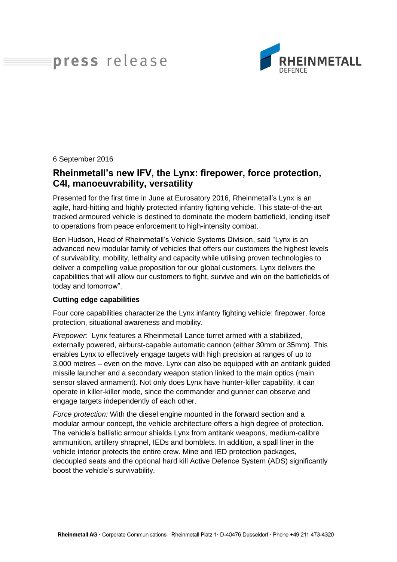# press release



6 September 2016

## **Rheinmetall's new IFV, the Lynx: firepower, force protection, C4I, manoeuvrability, versatility**

Presented for the first time in June at Eurosatory 2016, Rheinmetall's Lynx is an agile, hard-hitting and highly protected infantry fighting vehicle. This state-of-the-art tracked armoured vehicle is destined to dominate the modern battlefield, lending itself to operations from peace enforcement to high-intensity combat.

Ben Hudson, Head of Rheinmetall's Vehicle Systems Division, said "Lynx is an advanced new modular family of vehicles that offers our customers the highest levels of survivability, mobility, lethality and capacity while utilising proven technologies to deliver a compelling value proposition for our global customers. Lynx delivers the capabilities that will allow our customers to fight, survive and win on the battlefields of today and tomorrow".

### **Cutting edge capabilities**

Four core capabilities characterize the Lynx infantry fighting vehicle: firepower, force protection, situational awareness and mobility.

*Firepower:* Lynx features a Rheinmetall Lance turret armed with a stabilized, externally powered, airburst-capable automatic cannon (either 30mm or 35mm). This enables Lynx to effectively engage targets with high precision at ranges of up to 3,000 metres – even on the move. Lynx can also be equipped with an antitank guided missile launcher and a secondary weapon station linked to the main optics (main sensor slaved armament). Not only does Lynx have hunter-killer capability, it can operate in killer-killer mode, since the commander and gunner can observe and engage targets independently of each other.

*Force protection:* With the diesel engine mounted in the forward section and a modular armour concept, the vehicle architecture offers a high degree of protection. The vehicle's ballistic armour shields Lynx from antitank weapons, medium-calibre ammunition, artillery shrapnel, IEDs and bomblets. In addition, a spall liner in the vehicle interior protects the entire crew. Mine and IED protection packages, decoupled seats and the optional hard kill Active Defence System (ADS) significantly boost the vehicle's survivability.